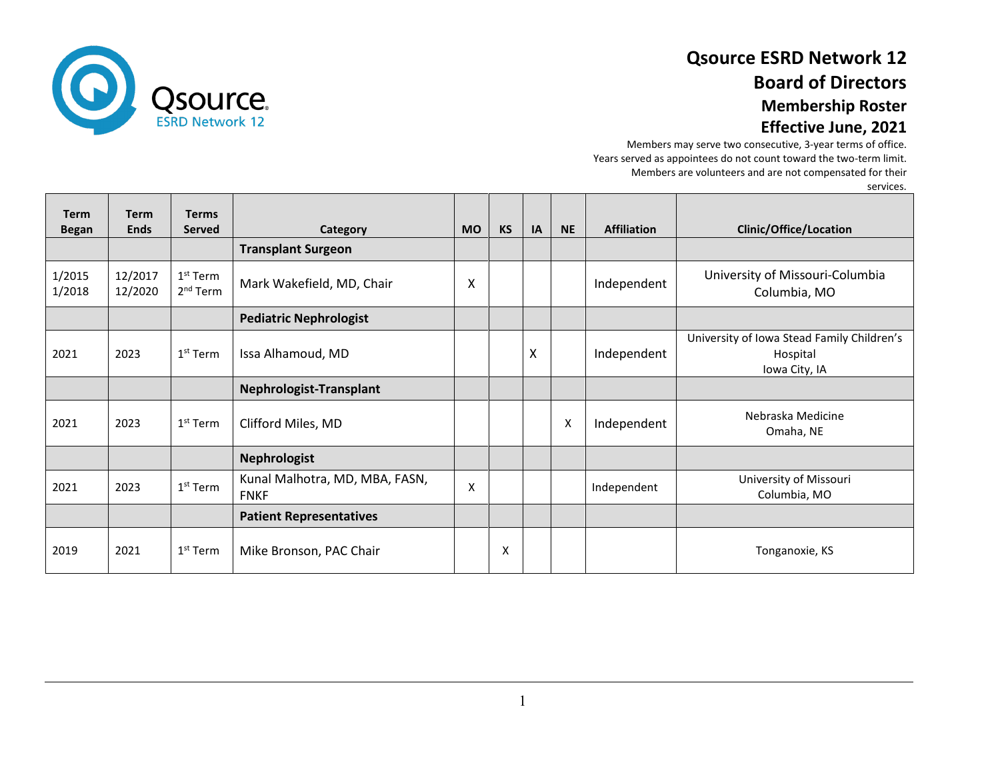

## **Qsource ESRD Network 12 Board of Directors Membership Roster**

### **Effective June, 2021**

Members may serve two consecutive, 3-year terms of office. Years served as appointees do not count toward the two-term limit. Members are volunteers and are not compensated for their

services.

| <b>Term</b><br><b>Began</b> | <b>Term</b><br><b>Ends</b> | <b>Terms</b><br><b>Served</b>      | Category                                      | <b>MO</b> | <b>KS</b> | IA | <b>NE</b> | <b>Affiliation</b> | Clinic/Office/Location                                                  |
|-----------------------------|----------------------------|------------------------------------|-----------------------------------------------|-----------|-----------|----|-----------|--------------------|-------------------------------------------------------------------------|
|                             |                            |                                    | <b>Transplant Surgeon</b>                     |           |           |    |           |                    |                                                                         |
| 1/2015<br>1/2018            | 12/2017<br>12/2020         | $1st$ Term<br>2 <sup>nd</sup> Term | Mark Wakefield, MD, Chair                     | X         |           |    |           | Independent        | University of Missouri-Columbia<br>Columbia, MO                         |
|                             |                            |                                    | <b>Pediatric Nephrologist</b>                 |           |           |    |           |                    |                                                                         |
| 2021                        | 2023                       | $1st$ Term                         | Issa Alhamoud, MD                             |           |           | X  |           | Independent        | University of Iowa Stead Family Children's<br>Hospital<br>Iowa City, IA |
|                             |                            |                                    | Nephrologist-Transplant                       |           |           |    |           |                    |                                                                         |
| 2021                        | 2023                       | $1st$ Term                         | Clifford Miles, MD                            |           |           |    | X         | Independent        | Nebraska Medicine<br>Omaha, NE                                          |
|                             |                            |                                    | <b>Nephrologist</b>                           |           |           |    |           |                    |                                                                         |
| 2021                        | 2023                       | $1st$ Term                         | Kunal Malhotra, MD, MBA, FASN,<br><b>FNKF</b> | X         |           |    |           | Independent        | University of Missouri<br>Columbia, MO                                  |
|                             |                            |                                    | <b>Patient Representatives</b>                |           |           |    |           |                    |                                                                         |
| 2019                        | 2021                       | $1st$ Term                         | Mike Bronson, PAC Chair                       |           | X         |    |           |                    | Tonganoxie, KS                                                          |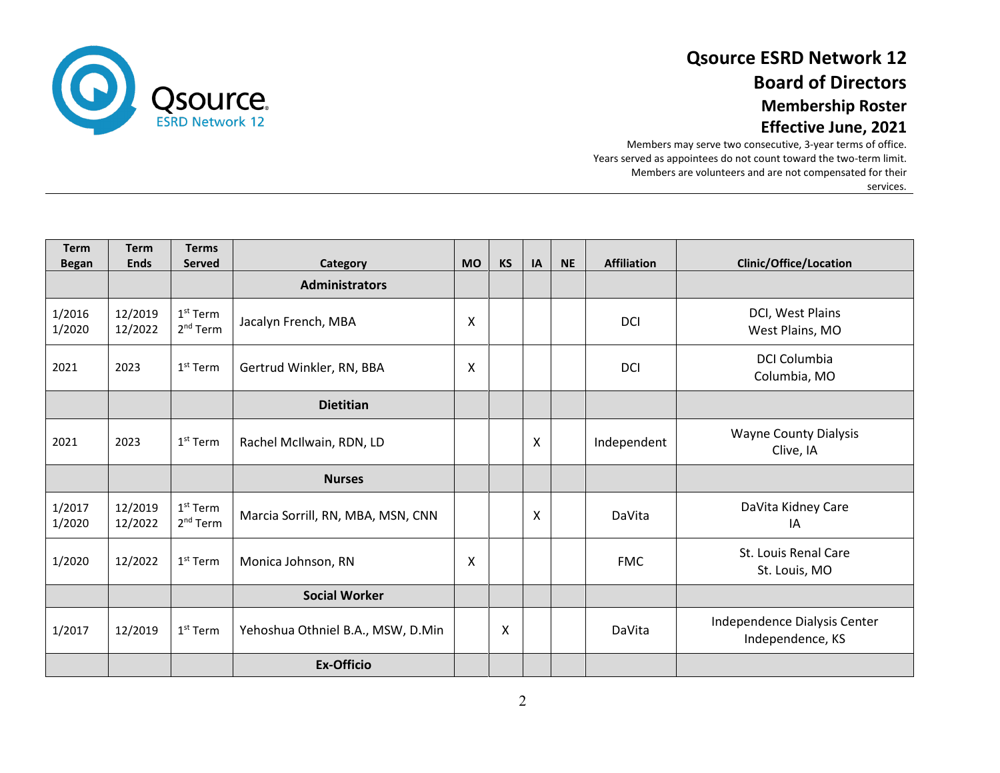

### **Qsource ESRD Network 12 Board of Directors Membership Roster Effective June, 2021**

Members may serve two consecutive, 3-year terms of office. Years served as appointees do not count toward the two-term limit. Members are volunteers and are not compensated for their services.

| <b>Term</b><br><b>Began</b> | <b>Term</b><br><b>Ends</b> | <b>Terms</b><br><b>Served</b>      | Category                          | <b>MO</b> | <b>KS</b> | IA | <b>NE</b> | <b>Affiliation</b> | <b>Clinic/Office/Location</b>                    |
|-----------------------------|----------------------------|------------------------------------|-----------------------------------|-----------|-----------|----|-----------|--------------------|--------------------------------------------------|
|                             |                            |                                    | <b>Administrators</b>             |           |           |    |           |                    |                                                  |
| 1/2016<br>1/2020            | 12/2019<br>12/2022         | $1st$ Term<br>$2nd$ Term           | Jacalyn French, MBA               | X         |           |    |           | <b>DCI</b>         | DCI, West Plains<br>West Plains, MO              |
| 2021                        | 2023                       | $1st$ Term                         | Gertrud Winkler, RN, BBA          | X         |           |    |           | <b>DCI</b>         | <b>DCI Columbia</b><br>Columbia, MO              |
|                             |                            |                                    | <b>Dietitian</b>                  |           |           |    |           |                    |                                                  |
| 2021                        | 2023                       | $1st$ Term                         | Rachel McIlwain, RDN, LD          |           |           | X  |           | Independent        | <b>Wayne County Dialysis</b><br>Clive, IA        |
|                             |                            |                                    | <b>Nurses</b>                     |           |           |    |           |                    |                                                  |
| 1/2017<br>1/2020            | 12/2019<br>12/2022         | $1st$ Term<br>2 <sup>nd</sup> Term | Marcia Sorrill, RN, MBA, MSN, CNN |           |           | X  |           | DaVita             | DaVita Kidney Care<br>IA                         |
| 1/2020                      | 12/2022                    | 1 <sup>st</sup> Term               | Monica Johnson, RN                | X         |           |    |           | <b>FMC</b>         | St. Louis Renal Care<br>St. Louis, MO            |
|                             |                            |                                    | <b>Social Worker</b>              |           |           |    |           |                    |                                                  |
| 1/2017                      | 12/2019                    | $1st$ Term                         | Yehoshua Othniel B.A., MSW, D.Min |           | Χ         |    |           | DaVita             | Independence Dialysis Center<br>Independence, KS |
|                             |                            |                                    | <b>Ex-Officio</b>                 |           |           |    |           |                    |                                                  |